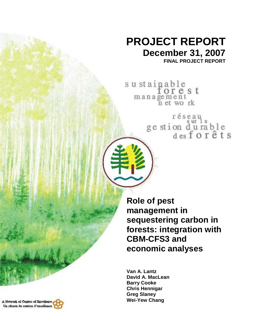## **PROJECT REPORT December 31, 2007**

**FINAL PROJECT REPORT** 

sustainable<br>forest management n et work

réseau<br>ge stion d'urable<br>des forêts

**Role of pest management in sequestering carbon in forests: integration with CBM-CFS3 and economic analyses** 

**Van A. Lantz David A. MacLean Barry Cooke Chris Hennigar Greg Slaney Wei-Yew Chang** 

A Network of Cantres of Baceliance, Un réseau de centres d'excellence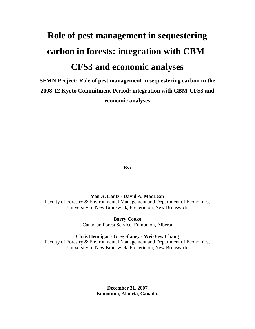# **Role of pest management in sequestering carbon in forests: integration with CBM-CFS3 and economic analyses**

**SFMN Project: Role of pest management in sequestering carbon in the 2008-12 Kyoto Commitment Period: integration with CBM-CFS3 and economic analyses** 

**By:** 

**Van A. Lantz - David A. MacLean** 

Faculty of Forestry & Environmental Management and Department of Economics, University of New Brunswick, Fredericton, New Brunswick

> **Barry Cooke** Canadian Forest Service, Edmonton, Alberta

**Chris Hennigar - Greg Slaney - Wei-Yew Chang** 

Faculty of Forestry & Environmental Management and Department of Economics, University of New Brunswick, Fredericton, New Brunswick

> **December 31, 2007 Edmonton, Alberta, Canada.**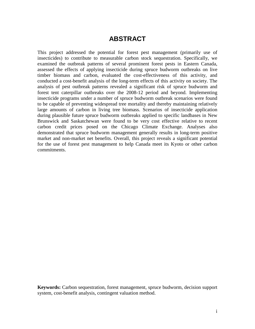## **ABSTRACT**

This project addressed the potential for forest pest management (primarily use of insecticides) to contribute to measurable carbon stock sequestration. Specifically, we examined the outbreak patterns of several prominent forest pests in Eastern Canada, assessed the effects of applying insecticide during spruce budworm outbreaks on live timber biomass and carbon, evaluated the cost-effectiveness of this activity, and conducted a cost-benefit analysis of the long-term effects of this activity on society. The analysis of pest outbreak patterns revealed a significant risk of spruce budworm and forest tent caterpillar outbreaks over the 2008-12 period and beyond. Implementing insecticide programs under a number of spruce budworm outbreak scenarios were found to be capable of preventing widespread tree mortality and thereby maintaining relatively large amounts of carbon in living tree biomass. Scenarios of insecticide application during plausible future spruce budworm outbreaks applied to specific landbases in New Brunswick and Saskatchewan were found to be very cost effective relative to recent carbon credit prices posed on the Chicago Climate Exchange. Analyses also demonstrated that spruce budworm management generally results in long-term positive market and non-market net benefits. Overall, this project reveals a significant potential for the use of forest pest management to help Canada meet its Kyoto or other carbon commitments.

**Keywords:** Carbon sequestration, forest management, spruce budworm, decision support system, cost-benefit analysis, contingent valuation method.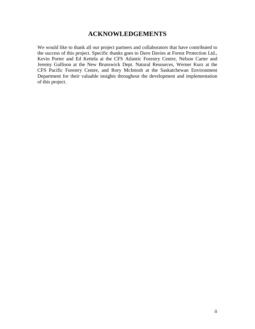## **ACKNOWLEDGEMENTS**

We would like to thank all our project partners and collaborators that have contributed to the success of this project. Specific thanks goes to Dave Davies at Forest Protection Ltd., Kevin Porter and Ed Kettela at the CFS Atlantic Forestry Centre, Nelson Carter and Jeremy Gullison at the New Brunswick Dept. Natural Resources, Werner Kurz at the CFS Pacific Forestry Centre, and Rory McIntosh at the Saskatchewan Environment Department for their valuable insights throughout the development and implementation of this project.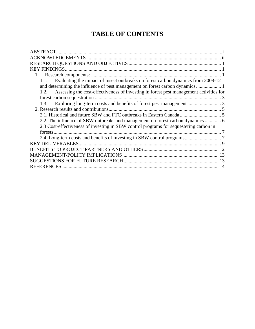## **TABLE OF CONTENTS**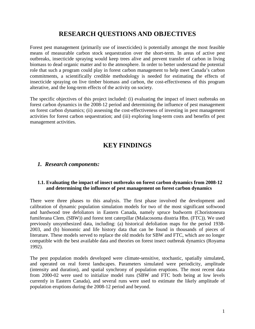## **RESEARCH QUESTIONS AND OBJECTIVES**

Forest pest management (primarily use of insecticides) is potentially amongst the most feasible means of measurable carbon stock sequestration over the short-term. In areas of active pest outbreaks, insecticide spraying would keep trees alive and prevent transfer of carbon in living biomass to dead organic matter and to the atmosphere. In order to better understand the potential role that such a program could play in forest carbon management to help meet Canada's carbon commitments, a scientifically credible methodology is needed for estimating the effects of insecticide spraying on live timber biomass and carbon, the cost-effectiveness of this program alterative, and the long-term effects of the activity on society.

The specific objectives of this project included: (i) evaluating the impact of insect outbreaks on forest carbon dynamics in the 2008-12 period and determining the influence of pest management on forest carbon dynamics; (ii) assessing the cost-effectiveness of investing in pest management activities for forest carbon sequestration; and (iii) exploring long-term costs and benefits of pest management activities.

## **KEY FINDINGS**

#### *1. Research components:*

#### **1.1. Evaluating the impact of insect outbreaks on forest carbon dynamics from 2008-12 and determining the influence of pest management on forest carbon dynamics**

There were three phases to this analysis. The first phase involved the development and calibration of dynamic population simulation models for two of the most significant softwood and hardwood tree defoliators in Eastern Canada, namely spruce budworm (Choristoneura fumiferana Clem. (SBW)) and forest tent caterpillar (Malacosoma disstria Hbn. (FTC)). We used previously unsynthesized data, including: (a) historical defoliation maps for the period 1938- 2003, and (b) bionomic and life history data that can be found in thousands of pieces of literature. These models served to replace the old models for SBW and FTC, which are no longer compatible with the best available data and theories on forest insect outbreak dynamics (Royama 1992).

The pest population models developed were climate-sensitive, stochastic, spatially simulated, and operated on real forest landscapes. Parameters simulated were periodicity, amplitude (intensity and duration), and spatial synchrony of population eruptions. The most recent data from 2000-02 were used to initialize model runs (SBW and FTC both being at low levels currently in Eastern Canada), and several runs were used to estimate the likely amplitude of population eruptions during the 2008-12 period and beyond.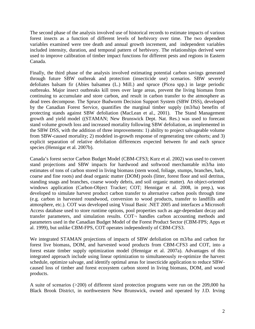The second phase of the analysis involved use of historical records to estimate impacts of various forest insects as a function of different levels of herbivory over time. The two dependent variables examined were tree death and annual growth increment, and independent variables included intensity, duration, and temporal pattern of herbivory. The relationships derived were used to improve calibration of timber impact functions for different pests and regions in Eastern Canada.

Finally, the third phase of the analysis involved estimating potential carbon savings generated through future SBW outbreak and protection (insecticide use) scenarios. SBW severely defoliates balsam fir (Abies balsamea (L.) Mill.) and spruce (Picea spp.) in large periodic outbreaks. Major insect outbreaks kill trees over large areas, prevent the living biomass from continuing to accumulate and store carbon, and result in carbon transfer to the atmosphere as dead trees decompose. The Spruce Budworm Decision Support System (SBW DSS), developed by the Canadian Forest Service, quantifies the marginal timber supply (m3/ha) benefits of protecting stands against SBW defoliation (MacLean et al., 2001). The Stand Management growth and yield model ((STAMAN; New Brunswick Dept. Nat. Res.) was used to forecast stand volume growth loss and increased mortality following SBW defoliation, as implemented in the SBW DSS, with the addition of three improvements: 1) ability to project salvageable volume from SBW-caused mortality; 2) modeled in-growth response of regenerating tree cohorts; and 3) explicit separation of relative defoliation differences expected between fir and each spruce species (Hennigar et al. 2007b).

Canada's forest sector Carbon Budget Model (CBM-CFS3; Kurz et al. 2002) was used to convert stand projections and SBW impacts for hardwood and softwood merchantable m3/ha into estimates of tons of carbon stored in living biomass (stem wood, foliage, stumps, branches, bark, coarse and fine roots) and dead organic matter (DOM) pools (litter, forest floor and soil detritus, standing snags and branches, coarse woody debris, and soil organic matter). An object-oriented windows application (Carbon-Object Tracker; COT; Hennigar et al. 2008, in prep.), was developed to simulate harvest product carbon transfer to alternative carbon pools through time (e.g. carbon in harvested roundwood, conversion to wood products, transfer to landfills and atmosphere, etc.). COT was developed using Visual Basic .NET 2005 and interfaces a Microsoft Access database used to store runtime options, pool properties such as age-dependant decay and transfer parameters, and simulation results. COT¬ handles carbon accounting methods and parameters used in the Canadian Budget Model of the Forest Product Sector (CBM-FPS; Apps et al. 1999), but unlike CBM-FPS, COT operates independently of CBM-CFS3.

We integrated STAMAN projections of impacts of SBW defoliation on m3/ha and carbon for forest live biomass, DOM, and harvested wood products from CBM-CFS3 and COT, into a forest estate timber supply optimization model (Hennigar et al. 2007a). Advantages of this integrated approach include using linear optimization to simultaneously re-optimize the harvest schedule, optimize salvage, and identify optimal areas for insecticide application to reduce SBWcaused loss of timber and forest ecosystem carbon stored in living biomass, DOM, and wood products.

A suite of scenarios (>200) of different sized protection programs were run on the 209,000 ha Black Brook District, in northwestern New Brunswick, owned and operated by J.D. Irving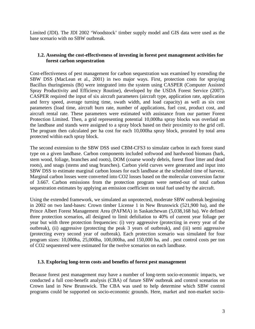Limited (JDI). The JDI 2002 'Woodstock' timber supply model and GIS data were used as the base scenario with no SBW outbreak.

#### **1.2. Assessing the cost-effectiveness of investing in forest pest management activities for forest carbon sequestration**

Cost-effectiveness of pest management for carbon sequestration was examined by extending the SBW DSS (MacLean et al., 2001) in two major ways. First, protection costs for spraying Bacillus thuringiensis (Bt) were integrated into the system using CASPER (Computer Assisted Spray Productivity and Efficiency Routine), developed by the USDA Forest Service (2007). CASPER required the input of six aircraft parameters (aircraft type, application rate, application and ferry speed, average turning time, swath width, and load capacity) as well as six cost parameters (load time, aircraft burn rate, number of applications, fuel cost, product cost, and aircraft rental rate. These parameters were estimated with assistance from our partner Forest Protection Limited. Then, a grid representing potential 10,000ha spray blocks was overlaid on the landbase and stands were assigned to a spray block based on their proximity to the grid cell. The program then calculated per ha cost for each 10,000ha spray block, prorated by total area protected within each spray block.

The second extension to the SBW DSS used CBM-CFS3 to simulate carbon in each forest stand type on a given landbase. Carbon components included softwood and hardwood biomass (bark, stem wood, foliage, branches and roots), DOM (coarse woody debris, forest floor litter and dead roots), and snags (stems and snag branches). Carbon yield curves were generated and input into SBW DSS to estimate marginal carbon losses for each landbase at the scheduled time of harvest. Marginal carbon losses were converted into CO2 losses based on the molecular conversion factor of 3.667. Carbon emissions from the protection program were netted-out of total carbon sequestration estimates by applying an emission coefficient on total fuel used by the aircraft.

Using the extended framework, we simulated an unprotected, moderate SBW outbreak beginning in 2002 on two land-bases: Crown timber License 1 in New Brunswick (521,900 ha), and the Prince Albert Forest Management Area (PAFMA) in Saskatchewan (5,038,168 ha). We defined three protection scenarios, all designed to limit defoliation to 40% of current year foliage per year but with three protection frequencies: (i) very aggressive (protecting in every year of the outbreak), (ii) aggressive (protecting the peak 3 years of outbreak), and (iii) semi aggressive (protecting every second year of outbreak). Each protection scenario was simulated for four program sizes: 10,000ha, 25,000ha, 100,000ha, and 150,000 ha, and . pest control costs per ton of CO2 sequestered were estimated for the twelve scenarios on each landbase.

#### **1.3. Exploring long-term costs and benefits of forest pest management**

Because forest pest management may have a number of long-term socio-economic impacts, we conducted a full cost-benefit analysis (CBA) of future SBW outbreak and control scenarios on Crown land in New Brunswick. The CBA was used to help determine which SBW control programs could be supported on socio-economic grounds. Here, market and non-market socio-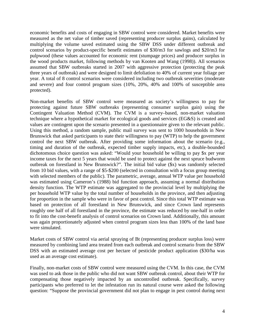economic benefits and costs of engaging in SBW control were considered. Market benefits were measured as the net value of timber saved (representing producer surplus gains), calculated by multiplying the volume saved estimated using the SBW DSS under different outbreak and control scenarios by product-specific benefit estimates of \$30/m3 for sawlogs and \$20/m3 for pulpwood (these values accounted for economic rent (stumpage prices) and producer surplus in the wood products market, following methods by van Kooten and Wang (1998)). All scenarios assumed that SBW outbreaks started in 2007 with aggressive protection (protecting the peak three years of outbreak) and were designed to limit defoliation to 40% of current year foliage per year. A total of 8 control scenarios were considered including two outbreak severities (moderate and severe) and four control program sizes (10%, 20%, 40% and 100% of susceptible area protected).

Non-market benefits of SBW control were measured as society's willingness to pay for protecting against future SBW outbreaks (representing consumer surplus gain) using the Contingent Valuation Method (CVM). The CVM is a survey–based, non-market valuation technique where a hypothetical market for ecological goods and services (EG&S) is created and values are contingent upon the scenario presented in a questionnaire given to the relevant public. Using this method, a random sample, public mail survey was sent to 1000 households in New Brunswick that asked participants to state their willingness to pay (WTP) to help the government control the next SBW outbreak. After providing some information about the scenario (e.g., timing and duration of the outbreak, expected timber supply impacts, etc), a double-bounded dichotomous choice question was asked: "Would your household be willing to pay \$x per year income taxes for the next 5 years that would be used to protect against the next spruce budworm outbreak on forestland in New Brunswick?". The initial bid value (\$x) was randomly selected from 10 bid values, with a range of \$5-\$200 (selected in consultation with a focus group meeting with selected members of the public). The parametric, average, annual WTP value per household was estimated using Cameron's (1988) bid function approach, assuming a normal distribution density function. The WTP estimate was aggregated to the provincial level by multiplying the per household WTP value by the total number of households in the province, and then adjusting for proportion in the sample who were in favor of pest control. Since this total WTP estimate was based on protection of all forestland in New Brunswick, and since Crown land represents roughly one half of all forestland in the province, the estimate was reduced by one-half in order to fit into the cost-benefit analysis of control scenarios on Crown land. Additionally, this amount was again proportionately adjusted when control program sizes less than 100% of the land base were simulated.

Market costs of SBW control via aerial spraying of Bt (representing producer surplus loss) were measured by combining land area treated from each outbreak and control scenario from the SBW DSS with an estimated average cost per hectare of pesticide product application (\$30/ha was used as an average cost estimate).

Finally, non-market costs of SBW control were measured using the CVM. In this case, the CVM was used to ask those in the public who did not want SBW outbreak control, about their WTP for compensating those negatively impacted by an uncontrolled outbreak. Specifically, survey participants who preferred to let the infestation run its natural course were asked the following question: "Suppose the provincial government did not plan to engage in pest control during next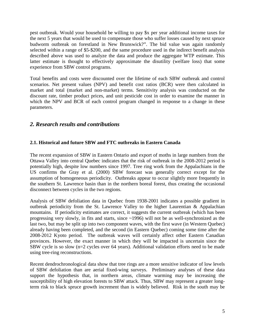pest outbreak. Would your household be willing to pay \$x per year additional income taxes for the next 5 years that would be used to compensate those who suffer losses caused by next spruce budworm outbreak on forestland in New Brunswick?". The bid value was again randomly selected within a range of \$5-\$200, and the same procedure used in the indirect benefit analysis described above was used to analyze the data and produce the aggregate WTP estimate. This latter estimate is thought to effectively approximate the disutility (welfare loss) that some experience from SBW control programs.

Total benefits and costs were discounted over the lifetime of each SBW outbreak and control scenarios. Net present values (NPV) and benefit cost ratios (BCR) were then calculated in market and total (market and non-market) terms. Sensitivity analysis was conducted on the discount rate, timber product prices, and unit pesticide cost in order to examine the manner in which the NPV and BCR of each control program changed in response to a change in these parameters.

#### *2. Research results and contributions*

#### **2.1. Historical and future SBW and FTC outbreaks in Eastern Canada**

The recent expansion of SBW in Eastern Ontario and export of moths in large numbers from the Ottawa Valley into central Quebec indicates that the risk of outbreak in the 2008-2012 period is potentially high, despite low numbers since 1997. Tree ring work from the Appalachians in the US confirms the Gray et al. (2000) SBW forecast was generally correct except for the assumption of homogeneous periodicity. Outbreaks appear to occur slightly more frequently in the southern St. Lawrence basin than in the northern boreal forest, thus creating the occasional disconnect between cycles in the two regions.

Analysis of SBW defoliation data in Quebec from 1938-2001 indicates a possible gradient in outbreak periodicity from the St. Lawrence Valley to the higher Laurentian & Appalachian mountains. If periodicity estimates are correct, it suggests the current outbreak (which has been progressing very slowly, in fits and starts, since ~1996) will not be as well-synchronized as the last two, but may be split up into two component waves, with the first wave (in Western Quebec) already having been completed, and the second (in Eastern Quebec) coming some time after the 2008-2012 Kyoto period. The outbreak waves will certainly affect other Eastern Canadian provinces. However, the exact manner in which they will be impacted is uncertain since the SBW cycle is so slow (n=2 cycles over 64 years). Additional validation efforts need to be made using tree-ring reconstructions.

Recent dendrochronological data show that tree rings are a more sensitive indicator of low levels of SBW defoliation than are aerial fixed-wing surveys. Preliminary analyses of these data support the hypothesis that, in northern areas, climate warming may be increasing the susceptibility of high elevation forests to SBW attack. Thus, SBW may represent a greater longterm risk to black spruce growth increment than is widely believed. Risk in the south may be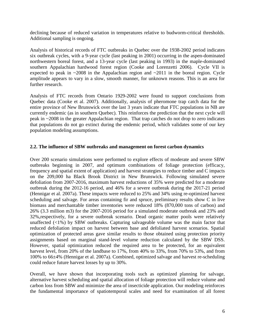declining because of reduced variation in temperatures relative to budworm-critical thresholds. Additional sampling is ongoing.

Analysis of historical records of FTC outbreaks in Quebec over the 1938-2002 period indicates six outbreak cycles, with a 9-year cycle (last peaking in 2001) occurring in the aspen-dominated northwestern boreal forest, and a 13-year cycle (last peaking in 1993) in the maple-dominated southern Appalachian hardwood forest region (Cooke and Lorenzetti 2006). Cycle VII is expected to peak in  $\sim$ 2008 in the Appalachian region and  $\sim$ 2011 in the boreal region. Cycle amplitude appears to vary in a slow, smooth manner, for unknown reasons. This is an area for further research.

Analysis of FTC records from Ontario 1929-2002 were found to support conclusions from Quebec data (Cooke et al. 2007). Additionally, analysis of pheromone trap catch data for the entire province of New Brunswick over the last 3 years indicate that FTC populations in NB are currently endemic (as in southern Quebec). This reinforces the prediction that the next cycle will peak in ~2008 in the greater Appalachian region. That trap catches do not drop to zero indicates that populations do not go extinct during the endemic period, which validates some of our key population modeling assumptions.

#### **2.2. The influence of SBW outbreaks and management on forest carbon dynamics**

Over 200 scenario simulations were performed to explore effects of moderate and severe SBW outbreaks beginning in 2007, and optimum combinations of foliage protection (efficacy, frequency and spatial extent of application) and harvest strategies to reduce timber and C impacts on the 209,000 ha Black Brook District in New Brunswick. Following simulated severe defoliation from 2007-2016, maximum harvest reductions of 35% were predicted for a moderate outbreak during the 2012-16 period, and 46% for a severe outbreak during the 2017-21 period (Hennigar et al. 2007a). These impacts were reduced to 25% and 34% using re-optimized harvest scheduling and salvage. For areas containing fir and spruce, preliminary results show C in live biomass and merchantable timber inventories were reduced 18% (870,000 tons of carbon) and 26% (3.3 million m3) for the 2007-2016 period for a simulated moderate outbreak and 23% and 32%,respectively, for a severe outbreak scenario. Dead organic matter pools were relatively unaffected  $(\langle 1\% \rangle)$  by SBW outbreaks. Capturing salvageable volume was the main factor that reduced defoliation impact on harvest between base and defoliated harvest scenarios. Spatial optimization of protected areas gave similar results to those obtained using protection priority assignments based on marginal stand-level volume reduction calculated by the SBW DSS. However, spatial optimization reduced the required area to be protected, for an equivalent harvest level, from 20% of the landbase to 17%, from 40% to 33%, from 70% to 53%, and from 100% to 66±4% (Hennigar et al. 2007a). Combined, optimized salvage and harvest re-scheduling could reduce future harvest losses by up to 30%.

Overall, we have shown that incorporating tools such as optimized planning for salvage, alternative harvest scheduling and spatial allocation of foliage protection will reduce volume and carbon loss from SBW and minimize the area of insecticide application. Our modeling reinforces the fundamental importance of spatiotemporal scales and need for examination of all forest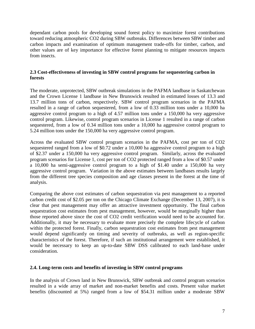dependant carbon pools for developing sound forest policy to maximize forest contributions toward reducing atmospheric CO2 during SBW outbreaks. Differences between SBW timber and carbon impacts and examination of optimum management trade-offs for timber, carbon, and other values are of key importance for effective forest planning to mitigate resources impacts from insects.

#### **2.3 Cost-effectiveness of investing in SBW control programs for sequestering carbon in forests**

The moderate, unprotected, SBW outbreak simulations in the PAFMA landbase in Saskatchewan and the Crown License 1 landbase in New Brunswick resulted in estimated losses of 13.3 and 13.7 million tons of carbon, respectively. SBW control program scenarios in the PAFMA resulted in a range of carbon sequestered, from a low of 0.33 million tons under a 10,000 ha aggressive control program to a high of 4.57 million tons under a 150,000 ha very aggressive control program. Likewise, control program scenarios in License 1 resulted in a range of carbon sequestered, from a low of 0.34 million tons under a 10,000 ha aggressive control program to 5.24 million tons under the 150,000 ha very aggressive control program.

Across the evaluated SBW control program scenarios in the PAFMA, cost per ton of CO2 sequestered ranged from a low of \$0.72 under a 10,000 ha aggressive control program to a high of \$2.37 under a 150,000 ha very aggressive control program. Similarly, across the evaluated program scenarios for License 1, cost per ton of CO2 protected ranged from a low of \$0.57 under a 10,000 ha semi-aggressive control program to a high of \$1.40 under a 150,000 ha very aggressive control program. Variation in the above estimates between landbases results largely from the different tree species composition and age classes present in the forest at the time of analysis.

Comparing the above cost estimates of carbon sequestration via pest management to a reported carbon credit cost of \$2.05 per ton on the Chicago Climate Exchange (December 13, 2007), it is clear that pest management may offer an attractive investment opportunity. The final carbon sequestration cost estimates from pest management, however, would be marginally higher than those reported above since the cost of CO2 credit verification would need to be accounted for. Additionally, it may be necessary to evaluate more precisely the complete lifecycle of carbon within the protected forest. Finally, carbon sequestration cost estimates from pest management would depend significantly on timing and severity of outbreaks, as well as region-specific characteristics of the forest. Therefore, if such an institutional arrangement were established, it would be necessary to keep an up-to-date SBW DSS calibrated to each land-base under consideration.

#### **2.4. Long-term costs and benefits of investing in SBW control programs**

In the analysis of Crown land in New Brunswick, SBW outbreak and control program scenarios resulted in a wide array of market and non-market benefits and costs. Present value market benefits (discounted at 5%) ranged from a low of \$54.31 million under a moderate SBW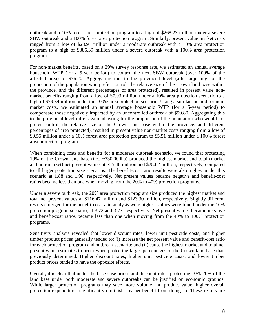outbreak and a 10% forest area protection program to a high of \$268.23 million under a severe SBW outbreak and a 100% forest area protection program. Similarly, present value market costs ranged from a low of \$28.91 million under a moderate outbreak with a 10% area protection program to a high of \$386.39 million under a severe outbreak with a 100% area protection program.

For non-market benefits, based on a 29% survey response rate, we estimated an annual average household WTP (for a 5-year period) to control the next SBW outbreak (over 100% of the affected area) of \$76.20. Aggregating this to the provincial level (after adjusting for the proportion of the population who prefer control, the relative size of the Crown land base within the province, and the different percentages of area protected), resulted in present value nonmarket benefits ranging from a low of \$7.93 million under a 10% area protection scenario to a high of \$79.34 million under the 100% area protection scenario. Using a similar method for nonmarket costs, we estimated an annual average household WTP (for a 5-year period) to compensate those negatively impacted by an uncontrolled outbreak of \$59.80. Aggregating this to the provincial level (after again adjusting for the proportion of the population who would not prefer control, the relative size of the Crown land base within the province, and different percentages of area protected), resulted in present value non-market costs ranging from a low of \$0.55 million under a 10% forest area protection program to \$5.51 million under a 100% forest area protection program.

When combining costs and benefits for a moderate outbreak scenario, we found that protecting 10% of the Crown land base (i.e., ~330,000ha) produced the highest market and total (market and non-market) net present values at \$25.40 million and \$28.82 million, respectively, compared to all larger protection size scenarios. The benefit-cost ratio results were also highest under this scenario at 1.88 and 1.98, respectively. Net present values became negative and benefit-cost ratios became less than one when moving from the 20% to 40% protection programs.

Under a severe outbreak, the 20% area protection program size produced the highest market and total net present values at \$116.47 million and \$123.30 million, respectively. Slightly different results emerged for the benefit-cost ratio analysis were highest values were found under the 10% protection program scenario, at 3.72 and 3.77, respectively. Net present values became negative and benefit-cost ratios became less than one when moving from the 40% to 100% protection programs.

Sensitivity analysis revealed that lower discount rates, lower unit pesticide costs, and higher timber product prices generally tended to: (i) increase the net present value and benefit-cost ratio for each protection program and outbreak scenario; and (ii) cause the highest market and total net present value estimates to occur when protecting larger percentages of the Crown land base than previously determined. Higher discount rates, higher unit pesticide costs, and lower timber product prices tended to have the opposite effects.

Overall, it is clear that under the base-case prices and discount rates, protecting 10%-20% of the land base under both moderate and severe outbreaks can be justified on economic grounds. While larger protection programs may save more volume and product value, higher overall protection expenditures significantly diminish any net benefit from doing so. These results are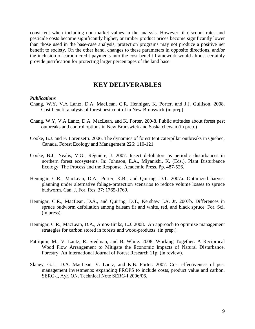consistent when including non-market values in the analysis. However, if discount rates and pesticide costs become significantly higher, or timber product prices become significantly lower than those used in the base-case analysis, protection programs may not produce a positive net benefit to society. On the other hand, changes to these parameters in opposite directions, and/or the inclusion of carbon credit payments into the cost-benefit framework would almost certainly provide justification for protecting larger percentages of the land base.

### **KEY DELIVERABLES**

#### *Publications*

- Chang, W.Y, V.A Lantz, D.A. MacLean, C.R. Hennigar, K. Porter, and J.J. Gullison. 2008. Cost-benefit analysis of forest pest control in New Brunswick (in prep)
- Chang, W.Y, V.A Lantz, D.A. MacLean, and K. Porter. 200-8. Public attitudes about forest pest outbreaks and control options in New Brunswick and Saskatchewan (in prep.)
- Cooke, B.J. and F. Lorenzetti. 2006. The dynamics of forest tent caterpillar outbreaks in Quebec, Canada. Forest Ecology and Management 226: 110-121.
- Cooke, B.J., Nealis, V.G., Régnière, J. 2007. Insect defoliators as periodic disturbances in northern forest ecosystems. In: Johnson, E.A., Miyanishi, K. (Eds.), Plant Disturbance Ecology: The Process and the Response. Academic Press. Pp. 487-526.
- Hennigar, C.R., MacLean, D.A., Porter, K.B., and Quiring, D.T. 2007a. Optimized harvest planning under alternative foliage-protection scenarios to reduce volume losses to spruce budworm. Can. J. For. Res. 37: 1765-1769.
- Hennigar, C.R., MacLean, D.A., and Quiring, D.T., Kershaw J.A. Jr. 2007b. Differences in spruce budworm defoliation among balsam fir and white, red, and black spruce. For. Sci. (in press).
- Hennigar, C.R., MacLean, D.A., Amos-Binks, L.J. 2008. An approach to optimize management strategies for carbon stored in forests and wood-products. (in prep.).
- Patriquin, M., V. Lantz, R. Stedman, and B. White. 2008. Working Together: A Reciprocal Wood Flow Arrangement to Mitigate the Economic Impacts of Natural Disturbance. Forestry: An International Journal of Forest Research 11p. (in review).
- Slaney, G.L., D.A. MacLean, V. Lantz, and K.B. Porter. 2007. Cost effectiveness of pest management investments: expanding PROPS to include costs, product value and carbon. SERG-I, Ayr, ON. Technical Note SERG-I 2006/06.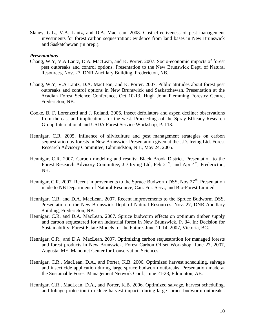Slaney, G.L., V.A. Lantz, and D.A. MacLean. 2008. Cost effectiveness of pest management investments for forest carbon sequestration: evidence from land bases in New Brunswick and Saskatchewan (in prep.).

#### *Presentations*

- Chang, W.Y, V.A Lantz, D.A. MacLean, and K. Porter. 2007. Socio-economic impacts of forest pest outbreaks and control options. Presentation to the New Brunswick Dept. of Natural Resources, Nov. 27, DNR Ancillary Building, Fredericton, NB.
- Chang, W.Y, V.A Lantz, D.A. MacLean, and K. Porter. 2007. Public attitudes about forest pest outbreaks and control options in New Brunswick and Saskatchewan. Presentation at the Acadian Forest Science Conference, Oct 10-13, Hugh John Flemming Forestry Centre, Fredericton, NB.
- Cooke, B, F. Lorenzetti and J. Roland. 2006. Insect defoliators and aspen decline: observations from the east and implications for the west. Proceedings of the Spray Efficacy Research Group International and USDA Forest Service Workshop, P. 113.
- Hennigar, C.R. 2005. Influence of silviculture and pest management strategies on carbon sequestration by forests in New Brunswick Presentation given at the J.D. Irving Ltd. Forest Research Advisory Committee, Edmundston, NB., May 24, 2005.
- Hennigar, C.R. 2007. Carbon modeling and results: Black Brook District. Presentation to the Forest Research Advisory Committee, JD Irving Ltd, Feb 21<sup>st</sup>, and Apr 4<sup>th</sup>, Fredericton, NB.
- Hennigar, C.R. 2007. Recent improvements to the Spruce Budworm DSS, Nov 27<sup>th</sup>. Presentation made to NB Department of Natural Resource, Can. For. Serv., and Bio-Forest Limited.
- Hennigar, C.R. and D.A. MacLean. 2007. Recent improvements to the Spruce Budworm DSS. Presentation to the New Brunswick Dept. of Natural Resources, Nov. 27, DNR Ancillary Building, Fredericton, NB.
- Hennigar, C.R. and D.A. MacLean. 2007. Spruce budworm effects on optimum timber supply and carbon sequestered for an industrial forest in New Brunswick. P. 34. In: Decision for Sustainability: Forest Estate Models for the Future. June 11-14, 2007, Victoria, BC.
- Hennigar, C.R., and D.A. MacLean. 2007. Optimizing carbon sequestration for managed forests and forest products in New Brunswick. Forest Carbon Offset Workshop, June 27, 2007, Augusta, ME. Manomet Center for Conservation Sciences.
- Hennigar, C.R., MacLean, D.A., and Porter, K.B. 2006. Optimized harvest scheduling, salvage and insecticide application during large spruce budworm outbreaks. Presentation made at the Sustainable Forest Management Network Conf., June 21-23, Edmonton, AB.
- Hennigar, C.R., MacLean, D.A., and Porter, K.B. 2006. Optimized salvage, harvest scheduling, and foliage-protection to reduce harvest impacts during large spruce budworm outbreaks.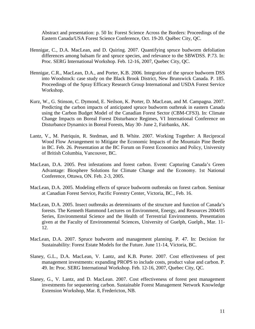Abstract and presentation: p. 50 In: Forest Science Across the Borders: Proceedings of the Eastern Canada/USA Forest Science Conference, Oct. 19-20. Québec City, QC.

- Hennigar, C., D.A. MacLean, and D. Quiring. 2007. Quantifying spruce budworm defoliation differences among balsam fir and spruce species, and relevance to the SBWDSS. P.73. In: Proc. SERG International Workshop. Feb. 12-16, 2007, Quebec City, QC.
- Hennigar, C.R., MacLean, D.A., and Porter, K.B. 2006. Integration of the spruce budworm DSS into Woodstock: case study on the Black Brook District, New Brunswick Canada. P. 185. Proceedings of the Spray Efficacy Research Group International and USDA Forest Service Workshop.
- Kurz, W., G. Stinson, C. Dymond, E. Neilson, K. Porter, D. MacLean, and M. Campagna. 2007. Predicting the carbon impacts of anticipated spruce budworm outbreak in eastern Canada using the Carbon Budget Model of the Canadian Forest Sector (CBM-CFS3). In: Climate Change Impacts on Boreal Forest Disturbance Regimes, VI International Conference on Disturbance Dynamics in Boreal Forests, May 30- June 2, Fairbanks, AK.
- Lantz, V., M. Patriquin, R. Stedman, and B. White. 2007. Working Together: A Reciprocal Wood Flow Arrangement to Mitigate the Economic Impacts of the Mountain Pine Beetle in BC. Feb. 26. Presentation at the BC Forum on Forest Economics and Policy, University of British Columbia, Vancouver, BC.
- MacLean, D.A. 2005. Pest infestations and forest carbon. Event: Capturing Canada's Green Advantage: Biosphere Solutions for Climate Change and the Economy. 1st National Conference, Ottawa, ON. Feb. 2-3, 2005.
- MacLean, D.A. 2005. Modeling effects of spruce budworm outbreaks on forest carbon. Seminar at Canadian Forest Service, Pacific Forestry Center, Victoria, BC., Feb. 16.
- MacLean, D.A. 2005. Insect outbreaks as determinants of the structure and function of Canada's forests. The Kenneth Hammond Lectures on Environment, Energy, and Resources 2004/05 Series, Environmental Science and the Health of Terrestrial Environments. Presentation given at the Faculty of Environmental Sciences, University of Guelph, Guelph., Mar. 11- 12.
- MacLean, D.A. 2007. Spruce budworm and management planning. P. 47. In: Decision for Sustainability: Forest Estate Models for the Future. June 11-14, Victoria, BC.
- Slaney, G.L., D.A. MacLean, V. Lantz, and K.B. Porter. 2007. Cost effectiveness of pest management investments: expanding PROPS to include costs, product value and carbon. P. 49. In: Proc. SERG International Workshop. Feb. 12-16, 2007, Quebec City, QC.
- Slaney, G., V. Lantz, and D. MacLean. 2007. Cost effectiveness of forest pest management investments for sequestering carbon. Sustainable Forest Management Network Knowledge Extension Workshop, Mar. 8, Fredericton, NB.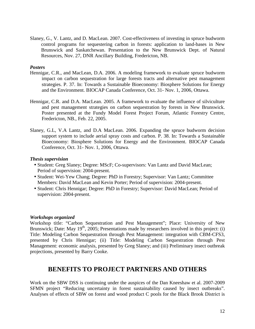Slaney, G., V. Lantz, and D. MacLean. 2007. Cost-effectiveness of investing in spruce budworm control programs for sequestering carbon in forests: application to land-bases in New Brunswick and Saskatchewan. Presentation to the New Brunswick Dept. of Natural Resources, Nov. 27, DNR Ancillary Building, Fredericton, NB.

#### *Posters*

- Hennigar, C.R., and MacLean, D.A. 2006. A modeling framework to evaluate spruce budworm impact on carbon sequestration for large forests tracts and alternative pest management strategies. P. 37. In: Towards a Sustainable Bioeconomy: Biosphere Solutions for Energy and the Environment. BIOCAP Canada Conference, Oct. 31- Nov. 1, 2006, Ottawa.
- Hennigar, C.R. and D.A. MacLean. 2005. A framework to evaluate the influence of silviculture and pest management strategies on carbon sequestration by forests in New Brunswick. Poster presented at the Fundy Model Forest Project Forum, Atlantic Forestry Centre, Fredericton, NB., Feb. 22, 2005.
- Slaney, G.L, V.A Lantz, and D.A MacLean. 2006. Expanding the spruce budworm decision support system to include aerial spray costs and carbon. P. 38. In: Towards a Sustainable Bioeconomy: Biosphere Solutions for Energy and the Environment. BIOCAP Canada Conference, Oct. 31- Nov. 1, 2006, Ottawa.

#### *Thesis supervision*

- Student: Greg Slaney; Degree: MScF; Co-supervisors: Van Lantz and David MacLean; Period of supervision: 2004-present.
- Student: Wei-Yew Chang; Degree: PhD in Forestry; Supervisor: Van Lantz; Committee Members: David MacLean and Kevin Porter; Period of supervision: 2004-present.
- Student: Chris Hennigar; Degree: PhD in Forestry; Supervisor: David MacLean; Period of supervision: 2004-present.

#### *Workshops organized*

Workshop title: "Carbon Sequestration and Pest Management"; Place: University of New Brunswick; Date: May  $19<sup>th</sup>$ , 2005; Presentations made by researchers involved in this project: (i) Title: Modeling Carbon Sequestration through Pest Management: integration with CBM-CFS3, presented by Chris Hennigar; (ii) Title: Modeling Carbon Sequestration through Pest Management: economic analysis, presented by Greg Slaney; and (iii) Preliminary insect outbreak projections, presented by Barry Cooke.

## **BENEFITS TO PROJECT PARTNERS AND OTHERS**

Work on the SBW DSS is continuing under the auspices of the Dan Kneeshaw et al. 2007-2009 SFMN project "Reducing uncertainty in forest sustainability caused by insect outbreaks". Analyses of effects of SBW on forest and wood product C pools for the Black Brook District is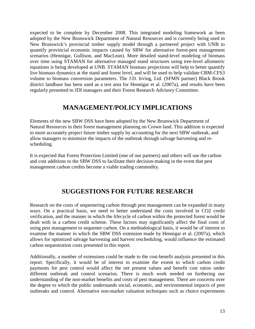expected to be complete by December 2008. This integrated modeling framework as been adopted by the New Brunswick Department of Natural Resources and is currently being used in New Brunswick's provincial timber supply model through a partnered project with UNB to quantify provincial economic impacts caused by SBW for alternative forest-pest management scenarios (Hennigar, Gullison, and MacLean). More detailed stand-level modeling of biomass over time using STAMAN for alternative managed stand structures using tree-level allometric equations is being developed at UNB. STAMAN biomass projections will help to better quantify live biomass dynamics at the stand and forest level, and will be used to help validate CBM-CFS3 volume to biomass conversion parameters. The J.D. Irving, Ltd. (SFMN partner) Black Brook district landbase has been used as a test area for Hennigar et al. (2007a), and results have been regularly presented to JDI managers and their Forest Research Advisory Committee.

## **MANAGEMENT/POLICY IMPLICATIONS**

Elements of the new SBW DSS have been adopted by the New Brunswick Department of Natural Resources in their forest management planning on Crown land. This addition is expected to more accurately project future timber supply by accounting for the next SBW outbreak, and allow managers to minimize the impacts of the outbreak through salvage harvesting and rescheduling.

It is expected that Forest Protection Limited (one of our partners) and others will use the carbon and cost additions to the SBW DSS to facilitate their decision-making in the event that pest management carbon credits become a viable trading commodity.

## **SUGGESTIONS FOR FUTURE RESEARCH**

Research on the costs of sequestering carbon through pest management can be expanded in many ways. On a practical basis, we need to better understand the costs involved in CO2 credit verification, and the manner in which the lifecycle of carbon within the protected forest would be dealt with in a carbon credit scheme. These factors may significantly affect the final costs of using pest management to sequester carbon. On a methodological basis, it would be of interest to examine the manner in which the SBW DSS extension made by Hennigar et al. (2007a), which allows for optimized salvage harvesting and harvest rescheduling, would influence the estimated carbon sequestration costs presented in this report.

Additionally, a number of extensions could be made to the cost-benefit analysis presented in this report. Specifically, it would be of interest to examine the extent to which carbon credit payments for pest control would affect the net present values and benefit cost ratios under different outbreak and control scenarios. There is much work needed on furthering our understanding of the non-market benefits and costs of pest management. There are concerns over the degree to which the public understands social, economic, and environmental impacts of pest outbreaks and control. Alternative non-market valuation techniques such as choice experiments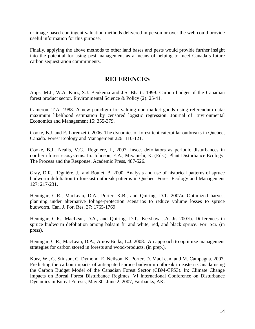or image-based contingent valuation methods delivered in person or over the web could provide useful information for this purpose.

Finally, applying the above methods to other land bases and pests would provide further insight into the potential for using pest management as a means of helping to meet Canada's future carbon sequestration commitments.

### **REFERENCES**

Apps, M.J., W.A. Kurz, S.J. Beukema and J.S. Bhatti. 1999. Carbon budget of the Canadian forest product sector. Environmental Science & Policy (2): 25-41.

Cameron, T.A. 1988. A new paradigm for valuing non-market goods using referendum data: maximum likelihood estimation by censored logistic regression. Journal of Environmental Economics and Management 15: 355-379.

Cooke, B.J. and F. Lorenzetti. 2006. The dynamics of forest tent caterpillar outbreaks in Quebec, Canada. Forest Ecology and Management 226: 110-121.

Cooke, B.J., Nealis, V.G., Regniere, J., 2007. Insect defoliators as periodic disturbances in northern forest ecosystems. In: Johnson, E.A., Miyanishi, K. (Eds.), Plant Disturbance Ecology: The Process and the Response. Academic Press, 487-526.

Gray, D.R., Régnière, J., and Boulet, B. 2000. Analysis and use of historical patterns of spruce budworm defoliation to forecast outbreak patterns in Quebec. Forest Ecology and Management 127: 217-231.

Hennigar, C.R., MacLean, D.A., Porter, K.B., and Quiring, D.T. 2007a. Optimized harvest planning under alternative foliage-protection scenarios to reduce volume losses to spruce budworm. Can. J. For. Res. 37: 1765-1769.

Hennigar, C.R., MacLean, D.A., and Quiring, D.T., Kershaw J.A. Jr. 2007b. Differences in spruce budworm defoliation among balsam fir and white, red, and black spruce. For. Sci. (in press).

Hennigar, C.R., MacLean, D.A., Amos-Binks, L.J. 2008. An approach to optimize management strategies for carbon stored in forests and wood-products. (in prep.).

Kurz, W., G. Stinson, C. Dymond, E. Neilson, K. Porter, D. MacLean, and M. Campagna. 2007. Predicting the carbon impacts of anticipated spruce budworm outbreak in eastern Canada using the Carbon Budget Model of the Canadian Forest Sector (CBM-CFS3). In: Climate Change Impacts on Boreal Forest Disturbance Regimes, VI International Conference on Disturbance Dynamics in Boreal Forests, May 30- June 2, 2007, Fairbanks, AK.